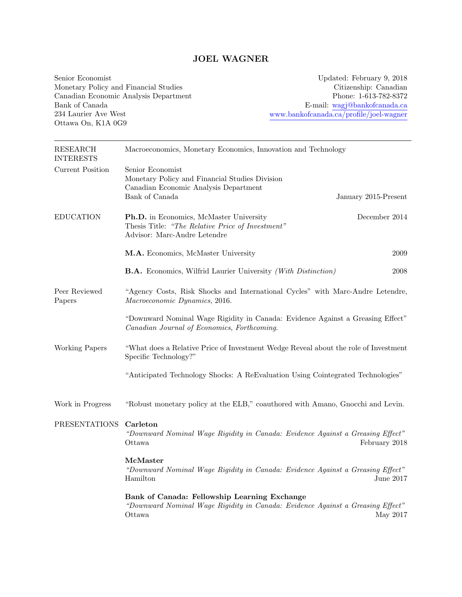# JOEL WAGNER

Senior Economist Monetary Policy and Financial Studies Canadian Economic Analysis Department Bank of Canada 234 Laurier Ave West Ottawa On, K1A 0G9

Updated: February 9, 2018 Citizenship: Canadian Phone: 1-613-782-8372 E-mail: [wagj@bankofcanada.ca](mailto:wagj@bankofcanada.ca) [www.bankofcanada.ca/profile/joel-wagner](http://www.bankofcanada.ca/profile/joel-wagner)

| <b>RESEARCH</b><br><b>INTERESTS</b> | Macroeconomics, Monetary Economics, Innovation and Technology                                                                            |                      |  |  |
|-------------------------------------|------------------------------------------------------------------------------------------------------------------------------------------|----------------------|--|--|
| <b>Current Position</b>             | Senior Economist<br>Monetary Policy and Financial Studies Division<br>Canadian Economic Analysis Department<br>Bank of Canada            | January 2015-Present |  |  |
|                                     |                                                                                                                                          |                      |  |  |
| <b>EDUCATION</b>                    | Ph.D. in Economics, McMaster University<br>Thesis Title: "The Relative Price of Investment"<br>Advisor: Marc-Andre Letendre              | December 2014        |  |  |
|                                     | M.A. Economics, McMaster University                                                                                                      | 2009                 |  |  |
|                                     | B.A. Economics, Wilfrid Laurier University (With Distinction)                                                                            | 2008                 |  |  |
| Peer Reviewed<br>Papers             | "Agency Costs, Risk Shocks and International Cycles" with Marc-Andre Letendre,<br>Macroeconomic Dynamics, 2016.                          |                      |  |  |
|                                     | "Downward Nominal Wage Rigidity in Canada: Evidence Against a Greasing Effect"<br>Canadian Journal of Economics, Forthcoming.            |                      |  |  |
| Working Papers                      | "What does a Relative Price of Investment Wedge Reveal about the role of Investment<br>Specific Technology?"                             |                      |  |  |
|                                     | "Anticipated Technology Shocks: A ReEvaluation Using Cointegrated Technologies"                                                          |                      |  |  |
| Work in Progress                    | "Robust monetary policy at the ELB," coauthored with Amano, Gnocchi and Levin.                                                           |                      |  |  |
| <b>PRESENTATIONS</b>                | Carleton<br>"Downward Nominal Wage Rigidity in Canada: Evidence Against a Greasing Effect"<br>Ottawa                                     | February 2018        |  |  |
|                                     | McMaster<br>"Downward Nominal Wage Rigidity in Canada: Evidence Against a Greasing Effect"<br>Hamilton                                   | June 2017            |  |  |
|                                     | Bank of Canada: Fellowship Learning Exchange<br>"Downward Nominal Wage Rigidity in Canada: Evidence Against a Greasing Effect"<br>Ottawa | May 2017             |  |  |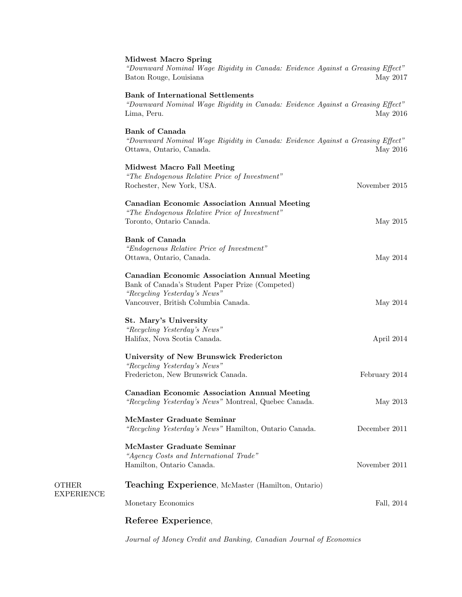### Midwest Macro Spring

"Downward Nominal Wage Rigidity in Canada: Evidence Against a Greasing Effect" Baton Rouge, Louisiana May 2017

# Bank of International Settlements

"Downward Nominal Wage Rigidity in Canada: Evidence Against a Greasing Effect" Lima, Peru. May 2016

### Bank of Canada

OTHER EXPERIENCE

"Downward Nominal Wage Rigidity in Canada: Evidence Against a Greasing Effect" Ottawa, Ontario, Canada. May 2016

| <b>Midwest Macro Fall Meeting</b><br>"The Endogenous Relative Price of Investment"<br>Rochester, New York, USA. | November 2015 |
|-----------------------------------------------------------------------------------------------------------------|---------------|
|                                                                                                                 |               |
| <b>Canadian Economic Association Annual Meeting</b>                                                             |               |
| "The Endogenous Relative Price of Investment"                                                                   |               |
| Toronto, Ontario Canada.                                                                                        | May 2015      |
| <b>Bank of Canada</b>                                                                                           |               |
| "Endogenous Relative Price of Investment"                                                                       |               |
| Ottawa, Ontario, Canada.                                                                                        | May 2014      |
| <b>Canadian Economic Association Annual Meeting</b><br>Bank of Canada's Student Paper Prize (Competed)          |               |
| "Recycling Yesterday's News"                                                                                    |               |
| Vancouver, British Columbia Canada.                                                                             | May 2014      |
| St. Mary's University                                                                                           |               |
| "Recycling Yesterday's News"                                                                                    |               |
| Halifax, Nova Scotia Canada.                                                                                    | April 2014    |
|                                                                                                                 |               |
| University of New Brunswick Fredericton                                                                         |               |
| "Recycling Yesterday's News"                                                                                    |               |
| Fredericton, New Brunswick Canada.                                                                              | February 2014 |
| <b>Canadian Economic Association Annual Meeting</b>                                                             |               |
| "Recycling Yesterday's News" Montreal, Quebec Canada.                                                           | May 2013      |
| McMaster Graduate Seminar                                                                                       |               |
| "Recycling Yesterday's News" Hamilton, Ontario Canada.                                                          | December 2011 |
| McMaster Graduate Seminar                                                                                       |               |
| "Agency Costs and International Trade"                                                                          |               |
| Hamilton, Ontario Canada.                                                                                       | November 2011 |
|                                                                                                                 |               |
| <b>Teaching Experience, McMaster (Hamilton, Ontario)</b>                                                        |               |
| Monetary Economics                                                                                              | Fall, 2014    |
| Referee Experience,                                                                                             |               |
|                                                                                                                 |               |

Journal of Money Credit and Banking, Canadian Journal of Economics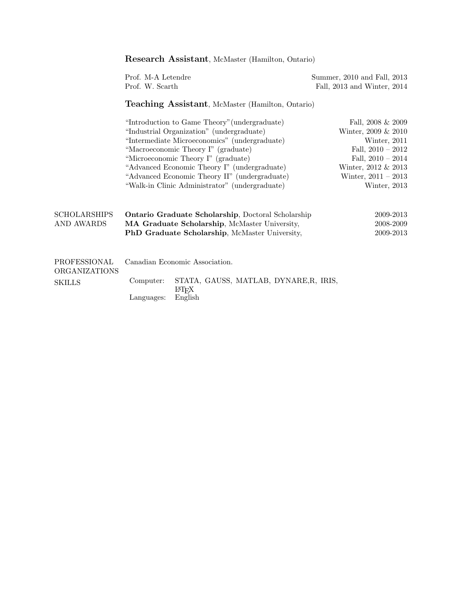|                                                       | <b>Research Assistant, McMaster (Hamilton, Ontario)</b>                                                                                               |                                                                                                                                                                                                                                                                                                                                                                              |                                                                                                                                                                             |  |  |
|-------------------------------------------------------|-------------------------------------------------------------------------------------------------------------------------------------------------------|------------------------------------------------------------------------------------------------------------------------------------------------------------------------------------------------------------------------------------------------------------------------------------------------------------------------------------------------------------------------------|-----------------------------------------------------------------------------------------------------------------------------------------------------------------------------|--|--|
|                                                       | Prof. M-A Letendre<br>Prof. W. Scarth                                                                                                                 |                                                                                                                                                                                                                                                                                                                                                                              | Summer, 2010 and Fall, 2013<br>Fall, 2013 and Winter, 2014                                                                                                                  |  |  |
|                                                       | <b>Teaching Assistant, McMaster (Hamilton, Ontario)</b>                                                                                               |                                                                                                                                                                                                                                                                                                                                                                              |                                                                                                                                                                             |  |  |
|                                                       |                                                                                                                                                       | "Introduction to Game Theory" (undergraduate)<br>"Industrial Organization" (undergraduate)<br>"Intermediate Microeconomics" (undergraduate)<br>"Macroeconomic Theory I" (graduate)<br>"Microeconomic Theory I" (graduate)<br>"Advanced Economic Theory I" (undergraduate)<br>"Advanced Economic Theory II" (undergraduate)<br>"Walk-in Clinic Administrator" (undergraduate) | Fall, $2008 \& 2009$<br>Winter, 2009 & 2010<br>Winter, 2011<br>Fall, $2010 - 2012$<br>Fall, $2010 - 2014$<br>Winter, 2012 & 2013<br>Winter, $2011 - 2013$<br>Winter, $2013$ |  |  |
| <b>SCHOLARSHIPS</b><br><b>AND AWARDS</b>              | Ontario Graduate Scholarship, Doctoral Scholarship<br>MA Graduate Scholarship, McMaster University,<br>PhD Graduate Scholarship, McMaster University, |                                                                                                                                                                                                                                                                                                                                                                              | 2009-2013<br>2008-2009<br>2009-2013                                                                                                                                         |  |  |
| PROFESSIONAL<br><b>ORGANIZATIONS</b><br><b>SKILLS</b> | Computer:<br>Languages:                                                                                                                               | Canadian Economic Association.<br>STATA, GAUSS, MATLAB, DYNARE, R, IRIS,<br>LAT <sub>F</sub> X<br>English                                                                                                                                                                                                                                                                    |                                                                                                                                                                             |  |  |